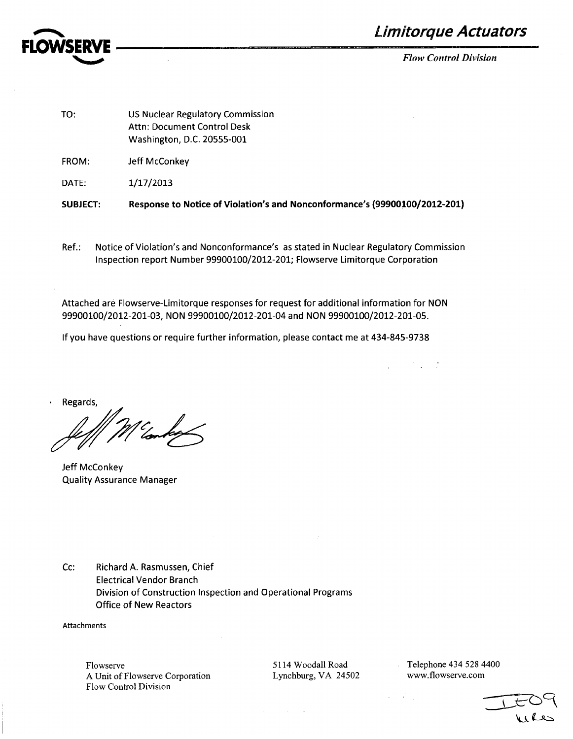

**Limitorque Actuators** 

*Flow Control Division*

 $\mathcal{L}^{\text{max}}(\mathcal{L}^{\text{max}})$  , and  $\mathcal{L}^{\text{max}}$ 

| <b>SUBJECT:</b> | Response to Notice of Violation's and Nonconformance's (99900100/2012-201)                    |
|-----------------|-----------------------------------------------------------------------------------------------|
| DATE:           | 1/17/2013                                                                                     |
| FROM:           | Jeff McConkey                                                                                 |
| TO:             | US Nuclear Regulatory Commission<br>Attn: Document Control Desk<br>Washington, D.C. 20555-001 |
|                 |                                                                                               |

Ref.: Notice of Violation's and Nonconformance's as stated in Nuclear Regulatory Commission Inspection report Number 99900100/2012-201; Flowserve Limitorque Corporation

Attached are Flowserve-Limitorque responses for request for additional information for NON 99900100/2012-201-03, NON 99900100/2012-201-04 and NON 99900100/2012-201-05.

If you have questions or require further information, please contact me at 434-845-9738

Regards,

Jeff McConkey Quality Assurance Manager

Cc: Richard A. Rasmussen, Chief Electrical Vendor Branch Division of Construction Inspection and Operational Programs Office of New Reactors

Attachments

Flowserve A Unit of Flowserve Corporation Flow Control Division

5114 Woodall Road Lynchburg, VA 24502 Telephone 434 528 4400 www.flowserve.com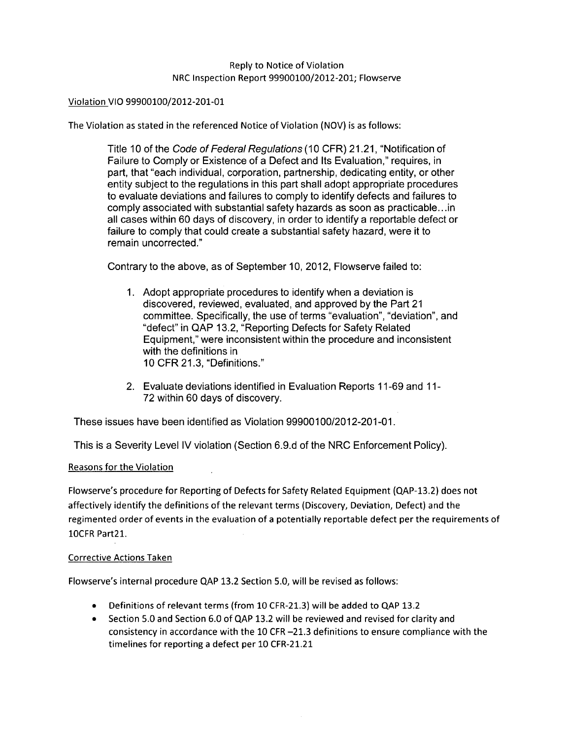## Reply to Notice of Violation NRC Inspection Report 99900100/2012-201; Flowserve

#### Violation VIO 99900100/2012-201-01

The Violation as stated in the referenced Notice of Violation (NOV) is as follows:

Title 10 of the Code *of Federal Regulations (10* CFR) 21.21, "Notification of Failure to Comply or Existence of a Defect and Its Evaluation," requires, in part, that "each individual, corporation, partnership, dedicating entity, or other entity subject to the regulations in this part shall adopt appropriate procedures to evaluate deviations and failures to comply to identify defects and failures to comply associated with substantial safety hazards as soon as practicable.. .in all cases within 60 days of discovery, in order to identify a reportable defect or failure to comply that could create a substantial safety hazard, were it to remain uncorrected."

Contrary to the above, as of September 10, 2012, Flowserve failed to:

- 1. Adopt appropriate procedures to identify when a deviation is discovered, reviewed, evaluated, and approved by the Part 21 committee. Specifically, the use of terms "evaluation", "deviation", and "defect" in QAP 13.2, "Reporting Defects for Safety Related Equipment," were inconsistent within the procedure and inconsistent with the definitions in 10 CFR 21.3, "Definitions."
- 2. Evaluate deviations identified in Evaluation Reports 11-69 and 11- 72 within 60 days of discovery.

These issues have been identified as Violation 99900100/2012-201-01.

This is a Severity Level IV violation (Section 6.9.d of the NRC Enforcement Policy).

## Reasons for the Violation

Flowserve's procedure for Reporting of Defects for Safety Related Equipment (QAP-13.2) does not affectively identify the definitions of the relevant terms (Discovery, Deviation, Defect) and the regimented order of events in the evaluation of a potentially reportable defect per the requirements of 1OCFR Part2l.

#### Corrective Actions Taken

Flowserve's internal procedure **QAP** 13.2 Section 5.0, will be revised as follows:

- \* Definitions of relevant terms (from 10 CFR-21.3) will be added to **QAP** 13.2
- **"** Section 5.0 and Section 6.0 of **QAP** 13.2 will be reviewed and revised for clarity and consistency in accordance with the 10 CFR -21.3 definitions to ensure compliance with the timelines for reporting a defect per 10 CFR-21.21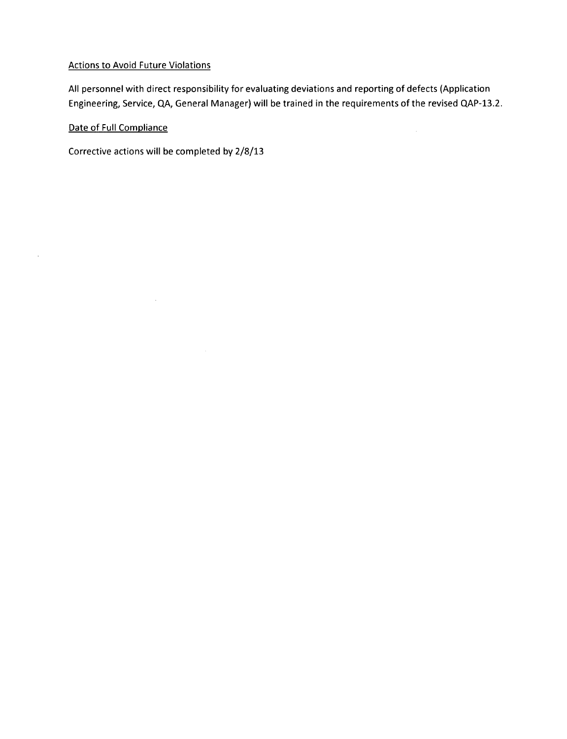## Actions to Avoid Future Violations

All personnel with direct responsibility for evaluating deviations and reporting of defects (Application Engineering, Service, QA, General Manager) will be trained in the requirements of the revised QAP-13.2.

 $\sim$ 

# Date of Full Compliance

 $\mathcal{A}$ 

Corrective actions will be completed by 2/8/13

 $\bar{z}$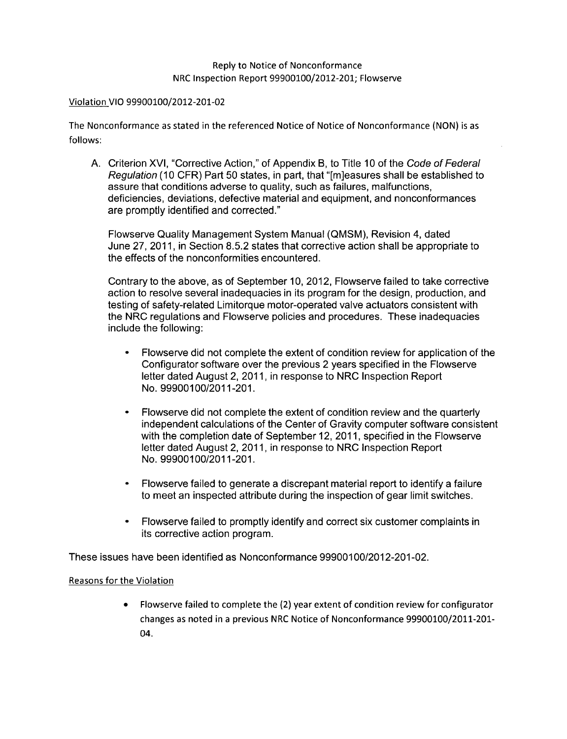#### Violation VIO 99900100/2012-201-02

The Nonconformance as stated in the referenced Notice of Notice of Nonconformance (NON) is as follows:

A. Criterion XVI, "Corrective Action," of Appendix B, to Title 10 of the Code *of Federal Regulation* (10 CFR) Part 50 states, in part, that "[m]easures shall be established to assure that conditions adverse to quality, such as failures, malfunctions, deficiencies, deviations, defective material and equipment, and nonconformances are promptly identified and corrected."

Flowserve Quality Management System Manual (QMSM), Revision 4, dated June 27, 2011, in Section 8.5.2 states that corrective action shall be appropriate to the effects of the nonconformities encountered.

Contrary to the above, as of September 10, 2012, Flowserve failed to take corrective action to resolve several inadequacies in its program for the design, production, and testing of safety-related Limitorque motor-operated valve actuators consistent with the NRC regulations and Flowserve policies and procedures. These inadequacies include the following:

- **0** Flowserve did not complete the extent of condition review for application of the Configurator software over the previous 2 years specified in the Flowserve letter dated August 2, 2011, in response to NRC Inspection Report No. 99900100/2011-201.
- **0** Flowserve did not complete the extent of condition review and the quarterly independent calculations of the Center of Gravity computer software consistent with the completion date of September 12, 2011, specified in the Flowserve letter dated August 2, 2011, in response to NRC Inspection Report No. 99900100/2011-201.
- **.** Flowserve failed to generate a discrepant material report to identify a failure to meet an inspected attribute during the inspection of gear limit switches.
- Flowserve failed to promptly identify and correct six customer complaints in its corrective action program.

These issues have been identified as Nonconformance 99900100/2012-201-02.

## Reasons for the Violation

Flowserve failed to complete the (2) year extent of condition review for configurator changes as noted in a previous NRC Notice of Nonconformance 99900100/2011-201- 04.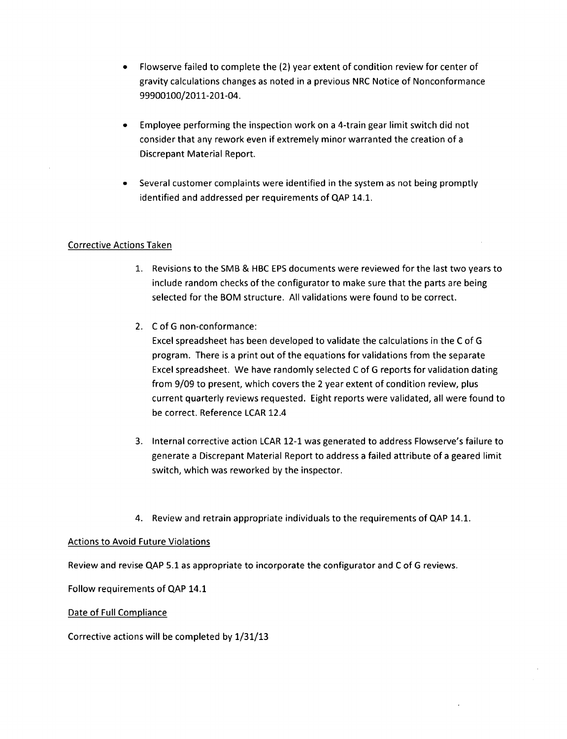- \* Flowserve failed to complete the (2) year extent of condition review for center of gravity calculations changes as noted in a previous NRC Notice of Nonconformance 99900100/2011-201-04.
- \* Employee performing the inspection work on a 4-train gear limit switch did not consider that any rework even if extremely minor warranted the creation of a Discrepant Material Report.
- Several customer complaints were identified in the system as not being promptly identified and addressed per requirements of **QAP** 14.1.

# Corrective Actions Taken

- 1. Revisions to the SMB & HBC EPS documents were reviewed for the last two years to include random checks of the configurator to make sure that the parts are being selected for the BOM structure. All validations were found to be correct.
- 2. C of G non-conformance:

Excel spreadsheet has been developed to validate the calculations in the C of G program. There is a print out of the equations for validations from the separate Excel spreadsheet. We have randomly selected C of G reports for validation dating from 9/09 to present, which covers the 2 year extent of condition review, plus current quarterly reviews requested. Eight reports were validated, all were found to be correct. Reference LCAR 12.4

- 3. Internal corrective action LCAR 12-1 was generated to address Flowserve's failure to generate a Discrepant Material Report to address a failed attribute of a geared limit switch, which was reworked by the inspector.
- 4. Review and retrain appropriate individuals to the requirements of **QAP** 14.1.

## Actions to Avoid Future Violations

Review and revise **QAP** 5.1 as appropriate to incorporate the configurator and C of G reviews.

Follow requirements of QAP 14.1

#### Date of Full Compliance

Corrective actions will be completed by 1/31/13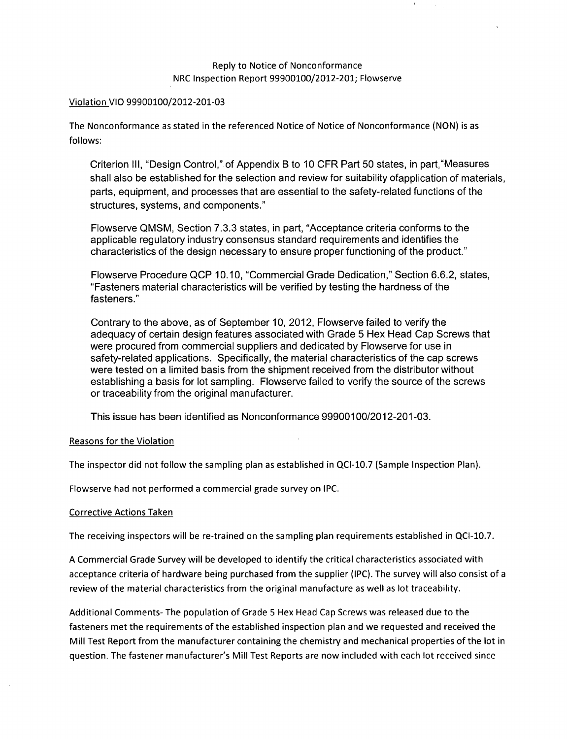#### Violation VIO 99900100/2012-201-03

The Nonconformance as stated in the referenced Notice of Notice of Nonconformance (NON) is as follows:

Criterion III, "Design Control," of Appendix B to 10 CFR Part 50 states, in part,"Measures shall also be established for the selection and review for suitability ofapplication of materials, parts, equipment, and processes that are essential to the safety-related functions of the structures, systems, and components."

Flowserve QMSM, Section 7.3.3 states, in part, "Acceptance criteria conforms to the applicable regulatory industry consensus standard requirements and identifies the characteristics of the design necessary to ensure proper functioning of the product."

Flowserve Procedure QCP 10.10, "Commercial Grade Dedication," Section 6.6.2, states, "Fasteners material characteristics will be verified by testing the hardness of the fasteners."

Contrary to the above, as of September 10, 2012, Flowserve failed to verify the adequacy of certain design features associated with Grade 5 Hex Head Cap Screws that were procured from commercial suppliers and dedicated by Flowserve for use in safety-related applications. Specifically, the material characteristics of the cap screws were tested on a limited basis from the shipment received from the distributor without establishing a basis for lot sampling. Flowserve failed to verify the source of the screws or traceability from the original manufacturer.

This issue has been identified as Nonconformance 99900100/2012-201-03.

## Reasons for the Violation

The inspector did not follow the sampling plan as established in QCI-10.7 (Sample Inspection Plan).

Flowserve had not performed a commercial grade survey on IPC.

#### Corrective Actions Taken

The receiving inspectors will be re-trained on the sampling plan requirements established in **QCI-10.7.**

A Commercial Grade Survey will be developed to identify the critical characteristics associated with acceptance criteria of hardware being purchased from the supplier (IPC). The survey will also consist of a review of the material characteristics from the original manufacture as well as lot traceability.

Additional Comments- The population of Grade 5 Hex Head Cap Screws was released due to the fasteners met the requirements of the established inspection plan and we requested and received the Mill Test Report from the manufacturer containing the chemistry and mechanical properties of the lot in question. The fastener manufacturer's Mill Test Reports are now included with each lot received since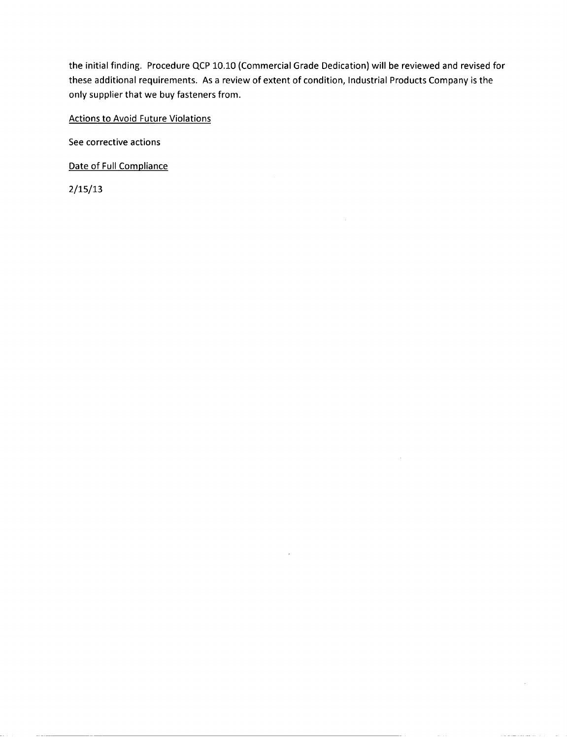the initial finding. Procedure **QCP 10.10** (Commercial Grade Dedication) will be reviewed and revised for these additional requirements. As a review of extent of condition, Industrial Products Company is the only supplier that we buy fasteners from.

#### Actions to Avoid Future Violations

See corrective actions

Date of Full Compliance

**2/15/13**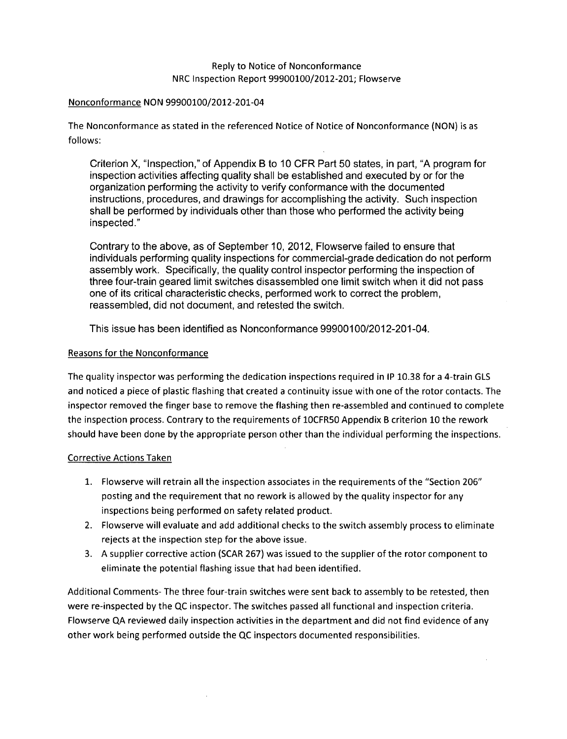#### Nonconformance NON 99900100/2012-201-04

The Nonconformance as stated in the referenced Notice of Notice of Nonconformance (NON) is as follows:

Criterion X, "Inspection," of Appendix B to 10 CFR Part 50 states, in part, "A program for inspection activities affecting quality shall be established and executed by or for the organization performing the activity to verify conformance with the documented instructions, procedures, and drawings for accomplishing the activity. Such inspection shall be performed by individuals other than those who performed the activity being inspected."

Contrary to the above, as of September 10, 2012, Flowserve failed to ensure that individuals performing quality inspections for commercial-grade dedication do not perform assembly work. Specifically, the quality control inspector performing the inspection of three four-train geared limit switches disassembled one limit switch when it did not pass one of its critical characteristic checks, performed work to correct the problem, reassembled, did not document, and retested the switch.

This issue has been identified as Nonconformance 99900100/2012-201-04.

## Reasons for the Nonconformance

The quality inspector was performing the dedication inspections required in IP 10.38 for a 4-train GLS and noticed a piece of plastic flashing that created a continuity issue with one of the rotor contacts. The inspector removed the finger base to remove the flashing then re-assembled and continued to complete the inspection process. Contrary to the requirements of 10CFR50 Appendix B criterion 10 the rework should have been done by the appropriate person other than the individual performing the inspections.

## Corrective Actions Taken

- **1.** Flowserve will retrain all the inspection associates in the requirements of the "Section 206" posting and the requirement that no rework is allowed by the quality inspector for any inspections being performed on safety related product.
- 2. Flowserve will evaluate and add additional checks to the switch assembly process to eliminate rejects at the inspection step for the above issue.
- 3. A supplier corrective action (SCAR 267) was issued to the supplier of the rotor component to eliminate the potential flashing issue that had been identified.

Additional Comments- The three four-train switches were sent back to assembly to be retested, then were re-inspected by the QC inspector. The switches passed all functional and inspection criteria. Flowserve QA reviewed daily inspection activities in the department and did not find evidence of any other work being performed outside the **QC** inspectors documented responsibilities.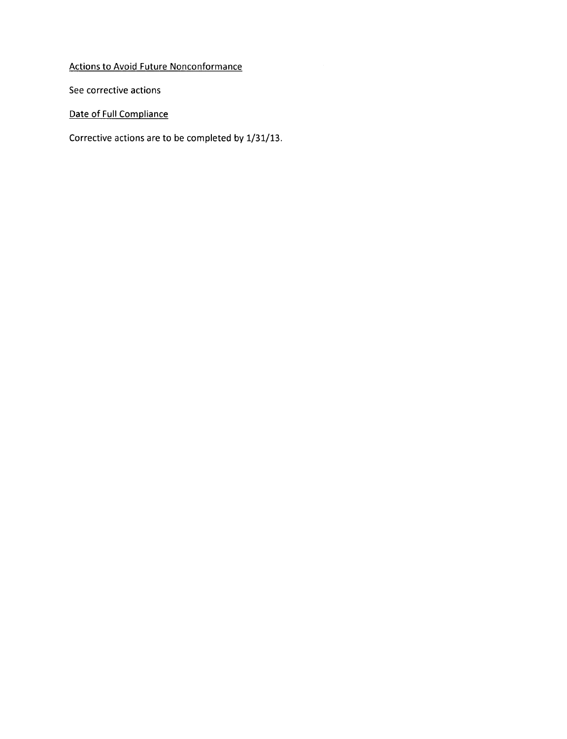Actions to Avoid Future Nonconformance

See corrective actions

Date of Full Compliance

Corrective actions are to be completed **by 1/31/13.**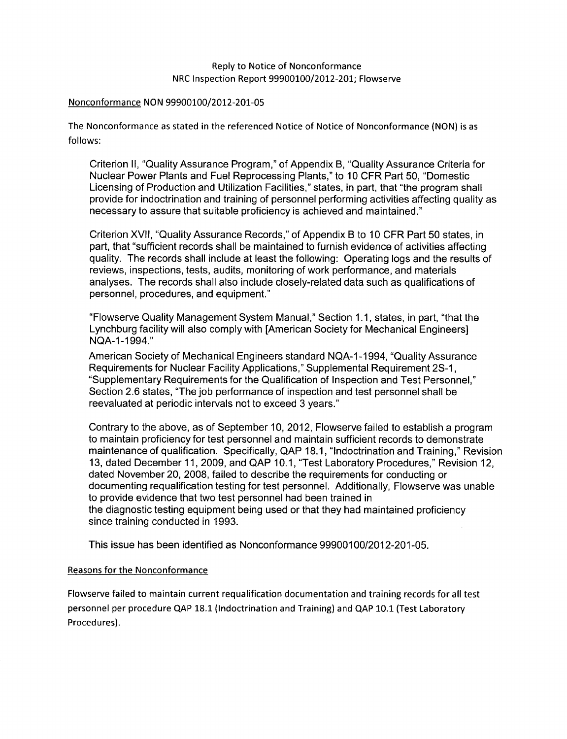#### Nonconformance NON 99900100/2012-201-05

The Nonconformance as stated in the referenced Notice of Notice of Nonconformance (NON) is as follows:

Criterion II, "Quality Assurance Program," of Appendix B, "Quality Assurance Criteria for Nuclear Power Plants and Fuel Reprocessing Plants," to 10 CFR Part 50, "Domestic Licensing of Production and Utilization Facilities," states, in part, that "the program shall provide for indoctrination and training of personnel performing activities affecting quality as necessary to assure that suitable proficiency is achieved and maintained."

Criterion XVII, "Quality Assurance Records," of Appendix B to 10 CFR Part 50 states, in part, that "sufficient records shall be maintained to furnish evidence of activities affecting quality. The records shall include at least the following: Operating logs and the results of reviews, inspections, tests, audits, monitoring of work performance, and materials analyses. The records shall also include closely-related data such as qualifications of personnel, procedures, and equipment."

"Flowserve Quality Management System Manual," Section 1.1, states, in part, "that the Lynchburg facility will also comply with [American Society for Mechanical Engineers] NQA-1 -1994."

American Society of Mechanical Engineers standard NQA-1 -1994, "Quality Assurance Requirements for Nuclear Facility Applications," Supplemental Requirement 2S-1, "Supplementary Requirements for the Qualification of Inspection and Test Personnel," Section 2.6 states, "The job performance of inspection and test personnel shall be reevaluated at periodic intervals not to exceed 3 years."

Contrary to the above, as of September 10, 2012, Flowserve failed to establish a program to maintain proficiency for test personnel and maintain sufficient records to demonstrate maintenance of qualification. Specifically, QAP 18.1, "Indoctrination and Training," Revision 13, dated December 11, 2009, and QAP 10.1, "Test Laboratory Procedures," Revision 12, dated November 20, 2008, failed to describe the requirements for conducting or documenting requalification testing for test personnel. Additionally, Flowserve was unable to provide evidence that two test personnel had been trained in the diagnostic testing equipment being used or that they had maintained proficiency since training conducted in 1993.

This issue has been identified as Nonconformance 99900100/2012-201-05.

## Reasons for the Nonconformance

Flowserve failed to maintain current requalification documentation and training records for all test personnel per procedure **QAP 18.1** (Indoctrination and Training) and QAP 10.1 (Test Laboratory Procedures).